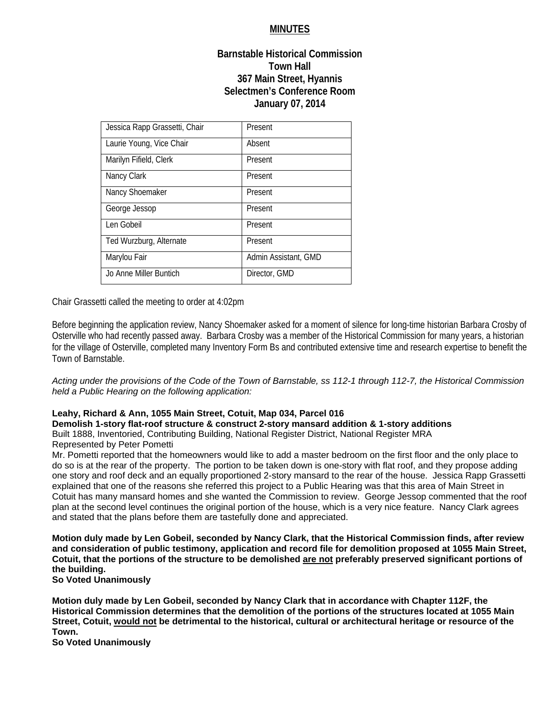# **MINUTES**

## **Barnstable Historical Commission Town Hall 367 Main Street, Hyannis Selectmen's Conference Room January 07, 2014**

| Jessica Rapp Grassetti, Chair | Present              |
|-------------------------------|----------------------|
| Laurie Young, Vice Chair      | Absent               |
| Marilyn Fifield, Clerk        | Present              |
| Nancy Clark                   | Present              |
| Nancy Shoemaker               | Present              |
| George Jessop                 | Present              |
| Len Gobeil                    | Present              |
| Ted Wurzburg, Alternate       | Present              |
| Marylou Fair                  | Admin Assistant, GMD |
| Jo Anne Miller Buntich        | Director, GMD        |

Chair Grassetti called the meeting to order at 4:02pm

Before beginning the application review, Nancy Shoemaker asked for a moment of silence for long-time historian Barbara Crosby of Osterville who had recently passed away. Barbara Crosby was a member of the Historical Commission for many years, a historian for the village of Osterville, completed many Inventory Form Bs and contributed extensive time and research expertise to benefit the Town of Barnstable.

*Acting under the provisions of the Code of the Town of Barnstable, ss 112-1 through 112-7, the Historical Commission held a Public Hearing on the following application:* 

## **Leahy, Richard & Ann, 1055 Main Street, Cotuit, Map 034, Parcel 016**

**Demolish 1-story flat-roof structure & construct 2-story mansard addition & 1-story additions** 

Built 1888, Inventoried, Contributing Building, National Register District, National Register MRA Represented by Peter Pometti

Mr. Pometti reported that the homeowners would like to add a master bedroom on the first floor and the only place to do so is at the rear of the property. The portion to be taken down is one-story with flat roof, and they propose adding one story and roof deck and an equally proportioned 2-story mansard to the rear of the house. Jessica Rapp Grassetti explained that one of the reasons she referred this project to a Public Hearing was that this area of Main Street in Cotuit has many mansard homes and she wanted the Commission to review. George Jessop commented that the roof plan at the second level continues the original portion of the house, which is a very nice feature. Nancy Clark agrees and stated that the plans before them are tastefully done and appreciated.

**Motion duly made by Len Gobeil, seconded by Nancy Clark, that the Historical Commission finds, after review and consideration of public testimony, application and record file for demolition proposed at 1055 Main Street, Cotuit, that the portions of the structure to be demolished are not preferably preserved significant portions of the building.** 

**So Voted Unanimously** 

**Motion duly made by Len Gobeil, seconded by Nancy Clark that in accordance with Chapter 112F, the Historical Commission determines that the demolition of the portions of the structures located at 1055 Main Street, Cotuit, would not be detrimental to the historical, cultural or architectural heritage or resource of the Town.** 

**So Voted Unanimously**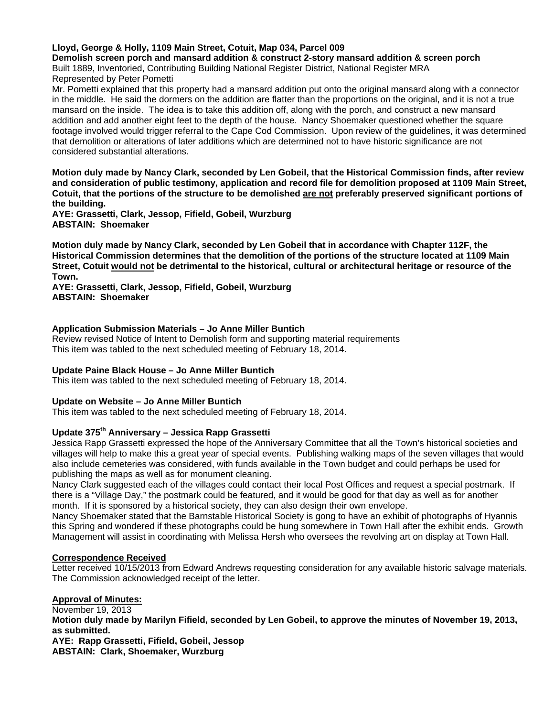### **Lloyd, George & Holly, 1109 Main Street, Cotuit, Map 034, Parcel 009**

**Demolish screen porch and mansard addition & construct 2-story mansard addition & screen porch**  Built 1889, Inventoried, Contributing Building National Register District, National Register MRA

Represented by Peter Pometti

Mr. Pometti explained that this property had a mansard addition put onto the original mansard along with a connector in the middle. He said the dormers on the addition are flatter than the proportions on the original, and it is not a true mansard on the inside. The idea is to take this addition off, along with the porch, and construct a new mansard addition and add another eight feet to the depth of the house. Nancy Shoemaker questioned whether the square footage involved would trigger referral to the Cape Cod Commission. Upon review of the guidelines, it was determined that demolition or alterations of later additions which are determined not to have historic significance are not considered substantial alterations.

**Motion duly made by Nancy Clark, seconded by Len Gobeil, that the Historical Commission finds, after review and consideration of public testimony, application and record file for demolition proposed at 1109 Main Street, Cotuit, that the portions of the structure to be demolished are not preferably preserved significant portions of the building.** 

**AYE: Grassetti, Clark, Jessop, Fifield, Gobeil, Wurzburg ABSTAIN: Shoemaker** 

**Motion duly made by Nancy Clark, seconded by Len Gobeil that in accordance with Chapter 112F, the Historical Commission determines that the demolition of the portions of the structure located at 1109 Main Street, Cotuit would not be detrimental to the historical, cultural or architectural heritage or resource of the Town.** 

**AYE: Grassetti, Clark, Jessop, Fifield, Gobeil, Wurzburg ABSTAIN: Shoemaker** 

### **Application Submission Materials – Jo Anne Miller Buntich**

Review revised Notice of Intent to Demolish form and supporting material requirements This item was tabled to the next scheduled meeting of February 18, 2014.

### **Update Paine Black House – Jo Anne Miller Buntich**

This item was tabled to the next scheduled meeting of February 18, 2014.

### **Update on Website – Jo Anne Miller Buntich**

This item was tabled to the next scheduled meeting of February 18, 2014.

# **Update 375th Anniversary – Jessica Rapp Grassetti**

Jessica Rapp Grassetti expressed the hope of the Anniversary Committee that all the Town's historical societies and villages will help to make this a great year of special events. Publishing walking maps of the seven villages that would also include cemeteries was considered, with funds available in the Town budget and could perhaps be used for publishing the maps as well as for monument cleaning.

Nancy Clark suggested each of the villages could contact their local Post Offices and request a special postmark. If there is a "Village Day," the postmark could be featured, and it would be good for that day as well as for another month. If it is sponsored by a historical society, they can also design their own envelope.

Nancy Shoemaker stated that the Barnstable Historical Society is gong to have an exhibit of photographs of Hyannis this Spring and wondered if these photographs could be hung somewhere in Town Hall after the exhibit ends. Growth Management will assist in coordinating with Melissa Hersh who oversees the revolving art on display at Town Hall.

### **Correspondence Received**

Letter received 10/15/2013 from Edward Andrews requesting consideration for any available historic salvage materials. The Commission acknowledged receipt of the letter.

### **Approval of Minutes:**

November 19, 2013 **Motion duly made by Marilyn Fifield, seconded by Len Gobeil, to approve the minutes of November 19, 2013, as submitted. AYE: Rapp Grassetti, Fifield, Gobeil, Jessop ABSTAIN: Clark, Shoemaker, Wurzburg**